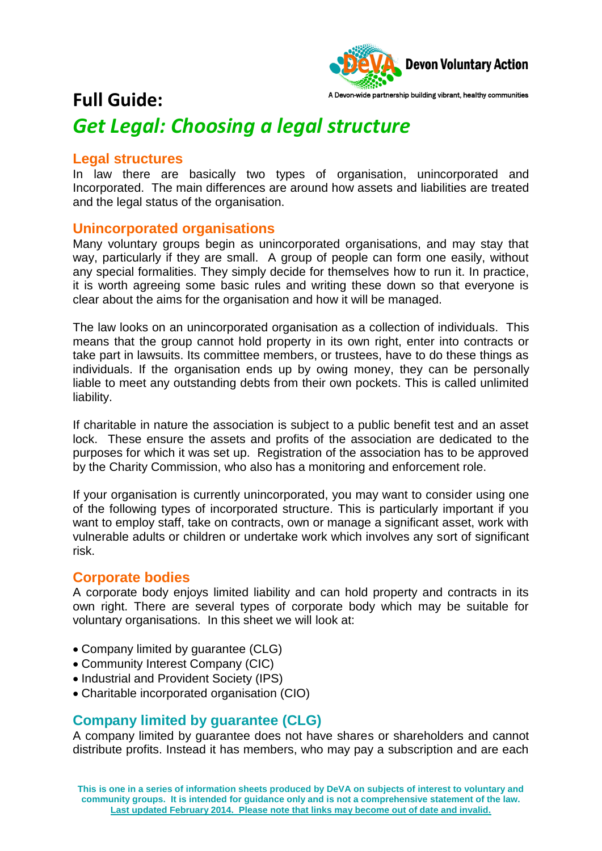

## **Full Guide:**  *Get Legal: Choosing a legal structure*

#### **Legal structures**

In law there are basically two types of organisation, unincorporated and Incorporated. The main differences are around how assets and liabilities are treated and the legal status of the organisation.

### **Unincorporated organisations**

Many voluntary groups begin as unincorporated organisations, and may stay that way, particularly if they are small. A group of people can form one easily, without any special formalities. They simply decide for themselves how to run it. In practice, it is worth agreeing some basic rules and writing these down so that everyone is clear about the aims for the organisation and how it will be managed.

The law looks on an unincorporated organisation as a collection of individuals. This means that the group cannot hold property in its own right, enter into contracts or take part in lawsuits. Its committee members, or trustees, have to do these things as individuals. If the organisation ends up by owing money, they can be personally liable to meet any outstanding debts from their own pockets. This is called unlimited liability.

If charitable in nature the association is subject to a public benefit test and an asset lock. These ensure the assets and profits of the association are dedicated to the purposes for which it was set up. Registration of the association has to be approved by the Charity Commission, who also has a monitoring and enforcement role.

If your organisation is currently unincorporated, you may want to consider using one of the following types of incorporated structure. This is particularly important if you want to employ staff, take on contracts, own or manage a significant asset, work with vulnerable adults or children or undertake work which involves any sort of significant risk.

### **Corporate bodies**

A corporate body enjoys limited liability and can hold property and contracts in its own right. There are several types of corporate body which may be suitable for voluntary organisations. In this sheet we will look at:

- Company limited by quarantee (CLG)
- Community Interest Company (CIC)
- Industrial and Provident Society (IPS)
- Charitable incorporated organisation (CIO)

### **Company limited by guarantee (CLG)**

A company limited by guarantee does not have shares or shareholders and cannot distribute profits. Instead it has members, who may pay a subscription and are each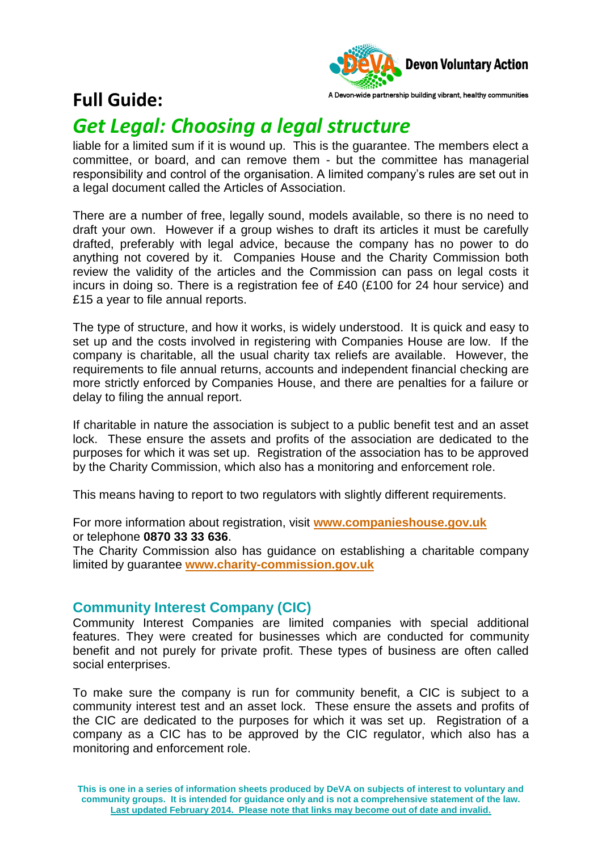

## **Full Guide:**

# *Get Legal: Choosing a legal structure*

liable for a limited sum if it is wound up. This is the guarantee. The members elect a committee, or board, and can remove them - but the committee has managerial responsibility and control of the organisation. A limited company's rules are set out in a legal document called the Articles of Association.

There are a number of free, legally sound, models available, so there is no need to draft your own. However if a group wishes to draft its articles it must be carefully drafted, preferably with legal advice, because the company has no power to do anything not covered by it. Companies House and the Charity Commission both review the validity of the articles and the Commission can pass on legal costs it incurs in doing so. There is a registration fee of £40 (£100 for 24 hour service) and £15 a year to file annual reports.

The type of structure, and how it works, is widely understood. It is quick and easy to set up and the costs involved in registering with Companies House are low. If the company is charitable, all the usual charity tax reliefs are available. However, the requirements to file annual returns, accounts and independent financial checking are more strictly enforced by Companies House, and there are penalties for a failure or delay to filing the annual report.

If charitable in nature the association is subject to a public benefit test and an asset lock. These ensure the assets and profits of the association are dedicated to the purposes for which it was set up. Registration of the association has to be approved by the Charity Commission, which also has a monitoring and enforcement role.

This means having to report to two regulators with slightly different requirements.

For more information about registration, visit **[www.companieshouse.gov.uk](http://www.companieshouse.gov.uk/)** or telephone **0870 33 33 636**.

The Charity Commission also has guidance on establishing a charitable company limited by guarantee **[www.charity-commission.gov.uk](http://www.charity-commission.gov.uk/)**

#### **Community Interest Company (CIC)**

Community Interest Companies are limited companies with special additional features. They were created for businesses which are conducted for community benefit and not purely for private profit. These types of business are often called social enterprises.

To make sure the company is run for community benefit, a CIC is subject to a community interest test and an asset lock. These ensure the assets and profits of the CIC are dedicated to the purposes for which it was set up. Registration of a company as a CIC has to be approved by the CIC regulator, which also has a monitoring and enforcement role.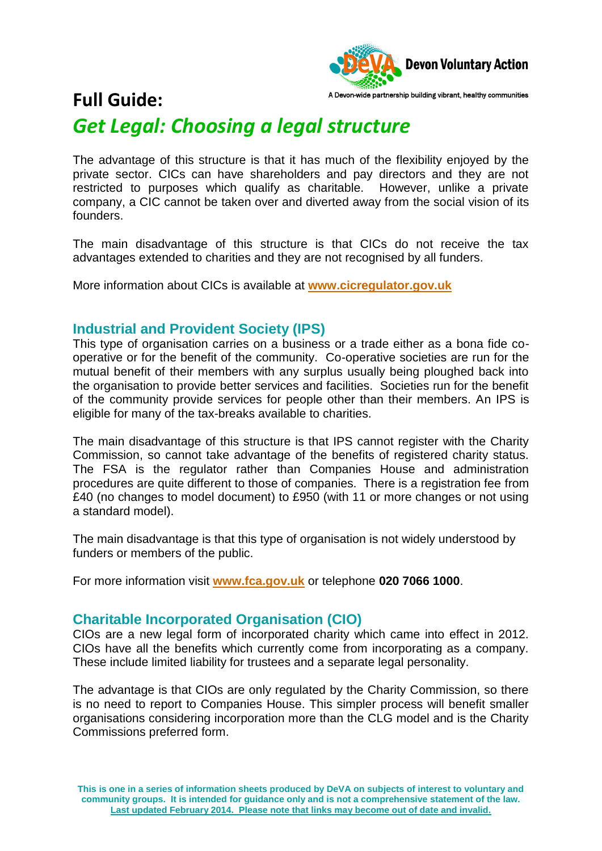

## **Full Guide:**  *Get Legal: Choosing a legal structure*

The advantage of this structure is that it has much of the flexibility enjoyed by the private sector. CICs can have shareholders and pay directors and they are not restricted to purposes which qualify as charitable. However, unlike a private company, a CIC cannot be taken over and diverted away from the social vision of its founders.

The main disadvantage of this structure is that CICs do not receive the tax advantages extended to charities and they are not recognised by all funders.

More information about CICs is available at **[www.cicregulator.gov.uk](http://www.cicregulator.gov.uk/)**

### **Industrial and Provident Society (IPS)**

This type of organisation carries on a business or a trade either as a bona fide cooperative or for the benefit of the community. Co-operative societies are run for the mutual benefit of their members with any surplus usually being ploughed back into the organisation to provide better services and facilities. Societies run for the benefit of the community provide services for people other than their members. An IPS is eligible for many of the tax-breaks available to charities.

The main disadvantage of this structure is that IPS cannot register with the Charity Commission, so cannot take advantage of the benefits of registered charity status. The FSA is the regulator rather than Companies House and administration procedures are quite different to those of companies. There is a registration fee from £40 (no changes to model document) to £950 (with 11 or more changes or not using a standard model).

The main disadvantage is that this type of organisation is not widely understood by funders or members of the public.

For more information visit **[www.fca.gov.uk](http://www.fca.gov.uk/)** or telephone **020 7066 1000**.

#### **Charitable Incorporated Organisation (CIO)**

CIOs are a new legal form of incorporated charity which came into effect in 2012. CIOs have all the benefits which currently come from incorporating as a company. These include limited liability for trustees and a separate legal personality.

The advantage is that CIOs are only regulated by the Charity Commission, so there is no need to report to Companies House. This simpler process will benefit smaller organisations considering incorporation more than the CLG model and is the Charity Commissions preferred form.